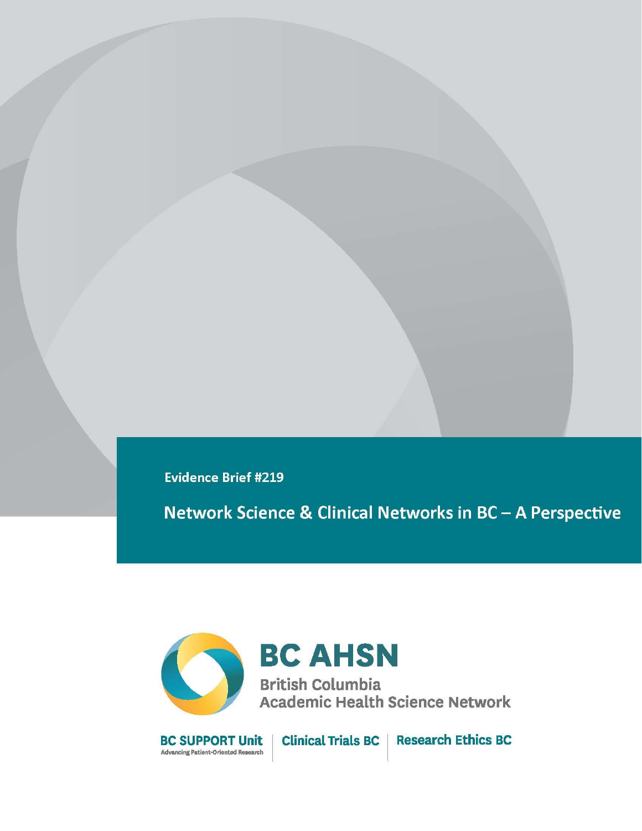**Evidence Brief #219** 

Network Science & Clinical Networks in BC - A Perspective



**BC AHSN** 

**British Columbia Academic Health Science Network** 

**BC SUPPORT Unit** Advancing Patient-Oriented Research

**Clinical Trials BC | Research Ethics BC**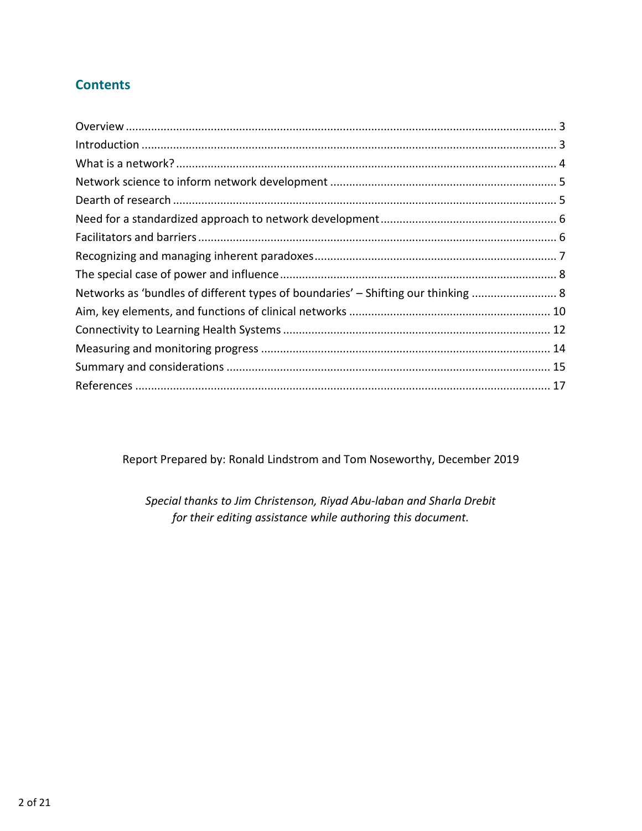## **Contents**

| Networks as 'bundles of different types of boundaries' - Shifting our thinking  8 |  |
|-----------------------------------------------------------------------------------|--|
|                                                                                   |  |
|                                                                                   |  |
|                                                                                   |  |
|                                                                                   |  |
|                                                                                   |  |

Report Prepared by: Ronald Lindstrom and Tom Noseworthy, December 2019

*Special thanks to Jim Christenson, Riyad Abu-laban and Sharla Drebit for their editing assistance while authoring this document.*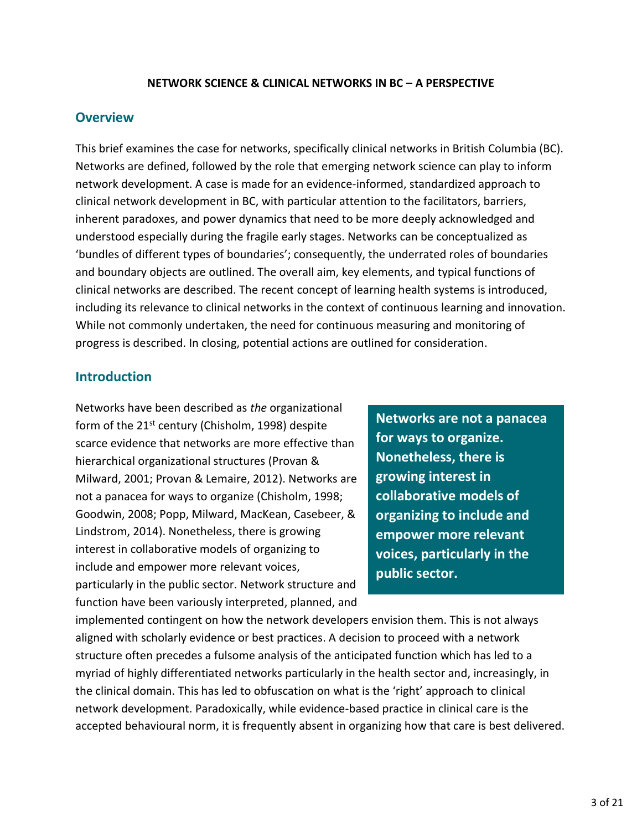#### **NETWORK SCIENCE & CLINICAL NETWORKS IN BC – A PERSPECTIVE**

#### <span id="page-2-0"></span>**Overview**

This brief examines the case for networks, specifically clinical networks in British Columbia (BC). Networks are defined, followed by the role that emerging network science can play to inform network development. A case is made for an evidence-informed, standardized approach to clinical network development in BC, with particular attention to the facilitators, barriers, inherent paradoxes, and power dynamics that need to be more deeply acknowledged and understood especially during the fragile early stages. Networks can be conceptualized as 'bundles of different types of boundaries'; consequently, the underrated roles of boundaries and boundary objects are outlined. The overall aim, key elements, and typical functions of clinical networks are described. The recent concept of learning health systems is introduced, including its relevance to clinical networks in the context of continuous learning and innovation. While not commonly undertaken, the need for continuous measuring and monitoring of progress is described. In closing, potential actions are outlined for consideration.

#### <span id="page-2-1"></span>**Introduction**

Networks have been described as *the* organizational form of the  $21^{st}$  century (Chisholm, 1998) despite scarce evidence that networks are more effective than hierarchical organizational structures (Provan & Milward, 2001; Provan & Lemaire, 2012). Networks are not a panacea for ways to organize (Chisholm, 1998; Goodwin, 2008; Popp, Milward, MacKean, Casebeer, & Lindstrom, 2014). Nonetheless, there is growing interest in collaborative models of organizing to include and empower more relevant voices, particularly in the public sector. Network structure and function have been variously interpreted, planned, and

**Networks are not a panacea for ways to organize. Nonetheless, there is growing interest in collaborative models of organizing to include and empower more relevant voices, particularly in the public sector.**

implemented contingent on how the network developers envision them. This is not always aligned with scholarly evidence or best practices. A decision to proceed with a network structure often precedes a fulsome analysis of the anticipated function which has led to a myriad of highly differentiated networks particularly in the health sector and, increasingly, in the clinical domain. This has led to obfuscation on what is the 'right' approach to clinical network development. Paradoxically, while evidence-based practice in clinical care is the accepted behavioural norm, it is frequently absent in organizing how that care is best delivered.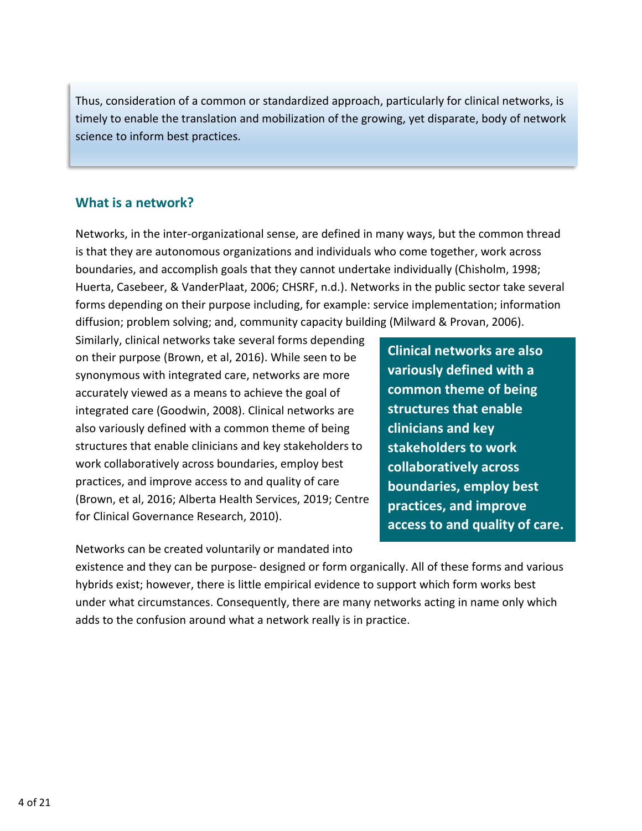Thus, consideration of a common or standardized approach, particularly for clinical networks, is timely to enable the translation and mobilization of the growing, yet disparate, body of network science to inform best practices.

### <span id="page-3-0"></span>**What is a network?**

Networks, in the inter-organizational sense, are defined in many ways, but the common thread is that they are autonomous organizations and individuals who come together, work across boundaries, and accomplish goals that they cannot undertake individually (Chisholm, 1998; Huerta, Casebeer, & VanderPlaat, 2006; CHSRF, n.d.). Networks in the public sector take several forms depending on their purpose including, for example: service implementation; information diffusion; problem solving; and, community capacity building (Milward & Provan, 2006).

Similarly, clinical networks take several forms depending on their purpose (Brown, et al, 2016). While seen to be synonymous with integrated care, networks are more accurately viewed as a means to achieve the goal of integrated care (Goodwin, 2008). Clinical networks are also variously defined with a common theme of being structures that enable clinicians and key stakeholders to work collaboratively across boundaries, employ best practices, and improve access to and quality of care (Brown, et al, 2016; Alberta Health Services, 2019; Centre for Clinical Governance Research, 2010).

Networks can be created voluntarily or mandated into

**Clinical networks are also variously defined with a common theme of being structures that enable clinicians and key stakeholders to work collaboratively across boundaries, employ best practices, and improve access to and quality of care.**

existence and they can be purpose- designed or form organically. All of these forms and various hybrids exist; however, there is little empirical evidence to support which form works best under what circumstances. Consequently, there are many networks acting in name only which adds to the confusion around what a network really is in practice.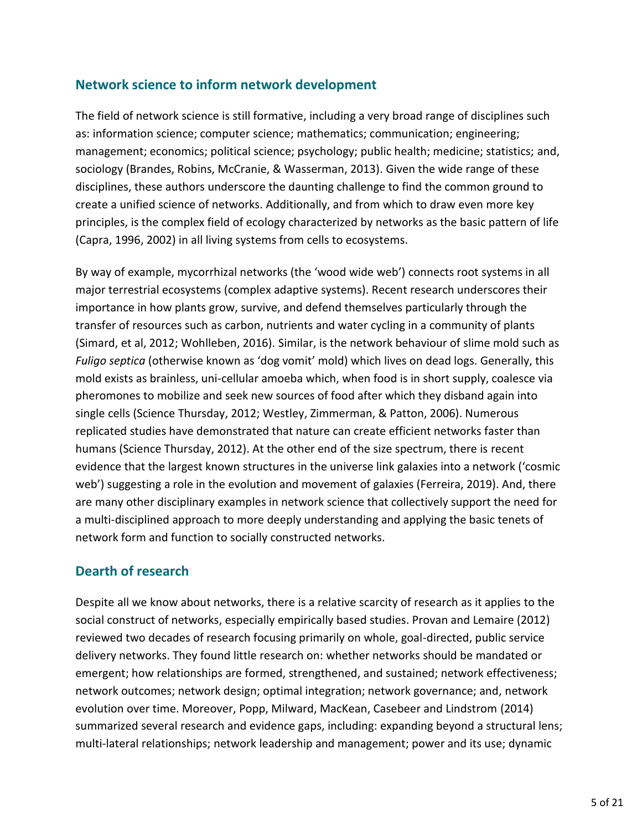### <span id="page-4-0"></span>**Network science to inform network development**

The field of network science is still formative, including a very broad range of disciplines such as: information science; computer science; mathematics; communication; engineering; management; economics; political science; psychology; public health; medicine; statistics; and, sociology (Brandes, Robins, McCranie, & Wasserman, 2013). Given the wide range of these disciplines, these authors underscore the daunting challenge to find the common ground to create a unified science of networks. Additionally, and from which to draw even more key principles, is the complex field of ecology characterized by networks as the basic pattern of life (Capra, 1996, 2002) in all living systems from cells to ecosystems.

By way of example, mycorrhizal networks (the 'wood wide web') connects root systems in all major terrestrial ecosystems (complex adaptive systems). Recent research underscores their importance in how plants grow, survive, and defend themselves particularly through the transfer of resources such as carbon, nutrients and water cycling in a community of plants (Simard, et al, 2012; Wohlleben, 2016). Similar, is the network behaviour of slime mold such as *Fuligo septica* (otherwise known as 'dog vomit' mold) which lives on dead logs. Generally, this mold exists as brainless, uni-cellular amoeba which, when food is in short supply, coalesce via pheromones to mobilize and seek new sources of food after which they disband again into single cells (Science Thursday, 2012; Westley, Zimmerman, & Patton, 2006). Numerous replicated studies have demonstrated that nature can create efficient networks faster than humans (Science Thursday, 2012). At the other end of the size spectrum, there is recent evidence that the largest known structures in the universe link galaxies into a network ('cosmic web') suggesting a role in the evolution and movement of galaxies (Ferreira, 2019). And, there are many other disciplinary examples in network science that collectively support the need for a multi-disciplined approach to more deeply understanding and applying the basic tenets of network form and function to socially constructed networks.

## <span id="page-4-1"></span>**Dearth of research**

Despite all we know about networks, there is a relative scarcity of research as it applies to the social construct of networks, especially empirically based studies. Provan and Lemaire (2012) reviewed two decades of research focusing primarily on whole, goal-directed, public service delivery networks. They found little research on: whether networks should be mandated or emergent; how relationships are formed, strengthened, and sustained; network effectiveness; network outcomes; network design; optimal integration; network governance; and, network evolution over time. Moreover, Popp, Milward, MacKean, Casebeer and Lindstrom (2014) summarized several research and evidence gaps, including: expanding beyond a structural lens; multi-lateral relationships; network leadership and management; power and its use; dynamic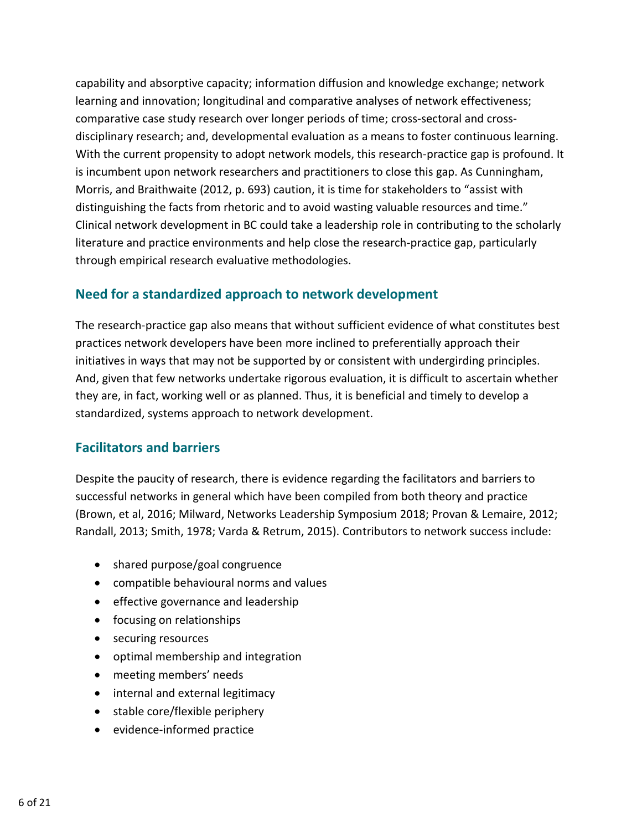capability and absorptive capacity; information diffusion and knowledge exchange; network learning and innovation; longitudinal and comparative analyses of network effectiveness; comparative case study research over longer periods of time; cross-sectoral and crossdisciplinary research; and, developmental evaluation as a means to foster continuous learning. With the current propensity to adopt network models, this research-practice gap is profound. It is incumbent upon network researchers and practitioners to close this gap. As Cunningham, Morris, and Braithwaite (2012, p. 693) caution, it is time for stakeholders to "assist with distinguishing the facts from rhetoric and to avoid wasting valuable resources and time." Clinical network development in BC could take a leadership role in contributing to the scholarly literature and practice environments and help close the research-practice gap, particularly through empirical research evaluative methodologies.

#### <span id="page-5-0"></span>**Need for a standardized approach to network development**

The research-practice gap also means that without sufficient evidence of what constitutes best practices network developers have been more inclined to preferentially approach their initiatives in ways that may not be supported by or consistent with undergirding principles. And, given that few networks undertake rigorous evaluation, it is difficult to ascertain whether they are, in fact, working well or as planned. Thus, it is beneficial and timely to develop a standardized, systems approach to network development.

## <span id="page-5-1"></span>**Facilitators and barriers**

Despite the paucity of research, there is evidence regarding the facilitators and barriers to successful networks in general which have been compiled from both theory and practice (Brown, et al, 2016; Milward, Networks Leadership Symposium 2018; Provan & Lemaire, 2012; Randall, 2013; Smith, 1978; Varda & Retrum, 2015). Contributors to network success include:

- shared purpose/goal congruence
- compatible behavioural norms and values
- effective governance and leadership
- focusing on relationships
- securing resources
- optimal membership and integration
- meeting members' needs
- internal and external legitimacy
- stable core/flexible periphery
- evidence-informed practice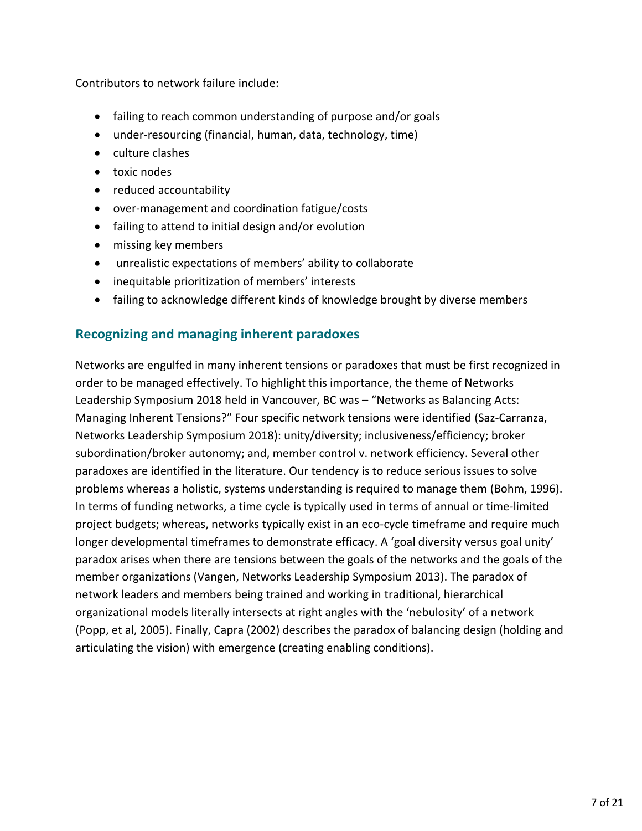Contributors to network failure include:

- failing to reach common understanding of purpose and/or goals
- under-resourcing (financial, human, data, technology, time)
- culture clashes
- toxic nodes
- reduced accountability
- over-management and coordination fatigue/costs
- failing to attend to initial design and/or evolution
- missing key members
- unrealistic expectations of members' ability to collaborate
- inequitable prioritization of members' interests
- failing to acknowledge different kinds of knowledge brought by diverse members

#### <span id="page-6-0"></span>**Recognizing and managing inherent paradoxes**

Networks are engulfed in many inherent tensions or paradoxes that must be first recognized in order to be managed effectively. To highlight this importance, the theme of Networks Leadership Symposium 2018 held in Vancouver, BC was – "Networks as Balancing Acts: Managing Inherent Tensions?" Four specific network tensions were identified (Saz-Carranza, Networks Leadership Symposium 2018): unity/diversity; inclusiveness/efficiency; broker subordination/broker autonomy; and, member control v. network efficiency. Several other paradoxes are identified in the literature. Our tendency is to reduce serious issues to solve problems whereas a holistic, systems understanding is required to manage them (Bohm, 1996). In terms of funding networks, a time cycle is typically used in terms of annual or time-limited project budgets; whereas, networks typically exist in an eco-cycle timeframe and require much longer developmental timeframes to demonstrate efficacy. A 'goal diversity versus goal unity' paradox arises when there are tensions between the goals of the networks and the goals of the member organizations (Vangen, Networks Leadership Symposium 2013). The paradox of network leaders and members being trained and working in traditional, hierarchical organizational models literally intersects at right angles with the 'nebulosity' of a network (Popp, et al, 2005). Finally, Capra (2002) describes the paradox of balancing design (holding and articulating the vision) with emergence (creating enabling conditions).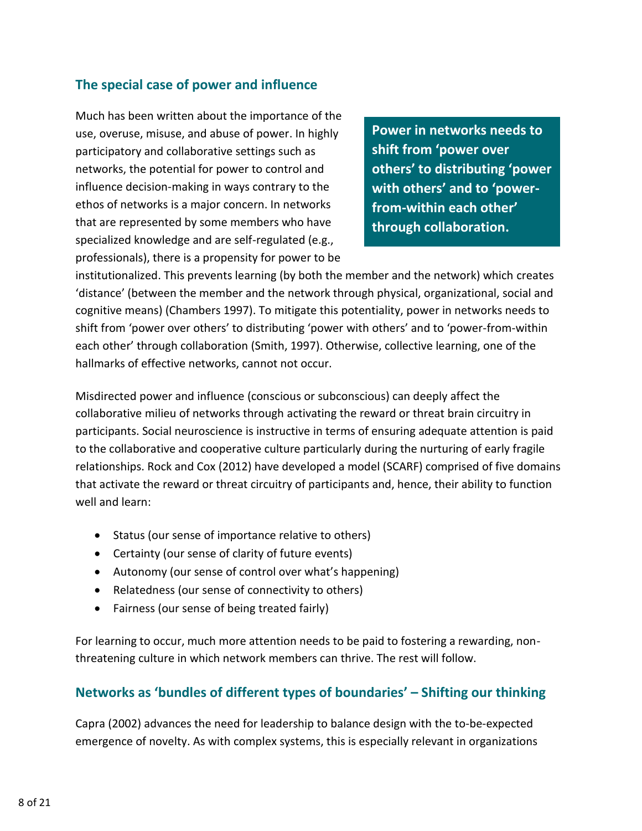### <span id="page-7-0"></span>**The special case of power and influence**

Much has been written about the importance of the use, overuse, misuse, and abuse of power. In highly participatory and collaborative settings such as networks, the potential for power to control and influence decision-making in ways contrary to the ethos of networks is a major concern. In networks that are represented by some members who have specialized knowledge and are self-regulated (e.g., professionals), there is a propensity for power to be

**Power in networks needs to shift from 'power over others' to distributing 'power with others' and to 'powerfrom-within each other' through collaboration.**

institutionalized. This prevents learning (by both the member and the network) which creates 'distance' (between the member and the network through physical, organizational, social and cognitive means) (Chambers 1997). To mitigate this potentiality, power in networks needs to shift from 'power over others' to distributing 'power with others' and to 'power-from-within each other' through collaboration (Smith, 1997). Otherwise, collective learning, one of the hallmarks of effective networks, cannot not occur.

Misdirected power and influence (conscious or subconscious) can deeply affect the collaborative milieu of networks through activating the reward or threat brain circuitry in participants. Social neuroscience is instructive in terms of ensuring adequate attention is paid to the collaborative and cooperative culture particularly during the nurturing of early fragile relationships. Rock and Cox (2012) have developed a model (SCARF) comprised of five domains that activate the reward or threat circuitry of participants and, hence, their ability to function well and learn:

- Status (our sense of importance relative to others)
- Certainty (our sense of clarity of future events)
- Autonomy (our sense of control over what's happening)
- Relatedness (our sense of connectivity to others)
- Fairness (our sense of being treated fairly)

For learning to occur, much more attention needs to be paid to fostering a rewarding, nonthreatening culture in which network members can thrive. The rest will follow.

#### <span id="page-7-1"></span>**Networks as 'bundles of different types of boundaries' – Shifting our thinking**

Capra (2002) advances the need for leadership to balance design with the to-be-expected emergence of novelty. As with complex systems, this is especially relevant in organizations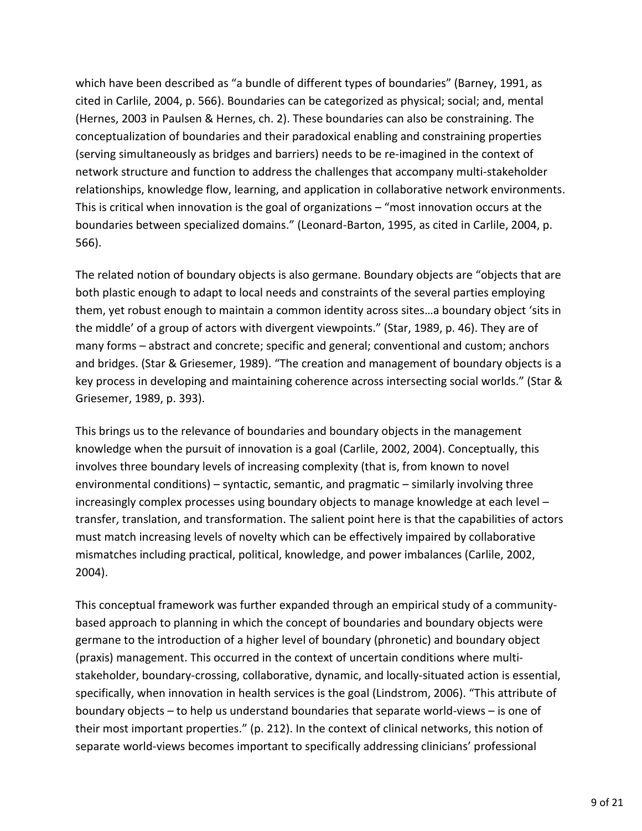which have been described as "a bundle of different types of boundaries" (Barney, 1991, as cited in Carlile, 2004, p. 566). Boundaries can be categorized as physical; social; and, mental (Hernes, 2003 in Paulsen & Hernes, ch. 2). These boundaries can also be constraining. The conceptualization of boundaries and their paradoxical enabling and constraining properties (serving simultaneously as bridges and barriers) needs to be re-imagined in the context of network structure and function to address the challenges that accompany multi-stakeholder relationships, knowledge flow, learning, and application in collaborative network environments. This is critical when innovation is the goal of organizations – "most innovation occurs at the boundaries between specialized domains." (Leonard-Barton, 1995, as cited in Carlile, 2004, p. 566).

The related notion of boundary objects is also germane. Boundary objects are "objects that are both plastic enough to adapt to local needs and constraints of the several parties employing them, yet robust enough to maintain a common identity across sites…a boundary object 'sits in the middle' of a group of actors with divergent viewpoints." (Star, 1989, p. 46). They are of many forms – abstract and concrete; specific and general; conventional and custom; anchors and bridges. (Star & Griesemer, 1989). "The creation and management of boundary objects is a key process in developing and maintaining coherence across intersecting social worlds." (Star & Griesemer, 1989, p. 393).

This brings us to the relevance of boundaries and boundary objects in the management knowledge when the pursuit of innovation is a goal (Carlile, 2002, 2004). Conceptually, this involves three boundary levels of increasing complexity (that is, from known to novel environmental conditions) – syntactic, semantic, and pragmatic – similarly involving three increasingly complex processes using boundary objects to manage knowledge at each level – transfer, translation, and transformation. The salient point here is that the capabilities of actors must match increasing levels of novelty which can be effectively impaired by collaborative mismatches including practical, political, knowledge, and power imbalances (Carlile, 2002, 2004).

This conceptual framework was further expanded through an empirical study of a communitybased approach to planning in which the concept of boundaries and boundary objects were germane to the introduction of a higher level of boundary (phronetic) and boundary object (praxis) management. This occurred in the context of uncertain conditions where multistakeholder, boundary-crossing, collaborative, dynamic, and locally-situated action is essential, specifically, when innovation in health services is the goal (Lindstrom, 2006). "This attribute of boundary objects – to help us understand boundaries that separate world-views – is one of their most important properties." (p. 212). In the context of clinical networks, this notion of separate world-views becomes important to specifically addressing clinicians' professional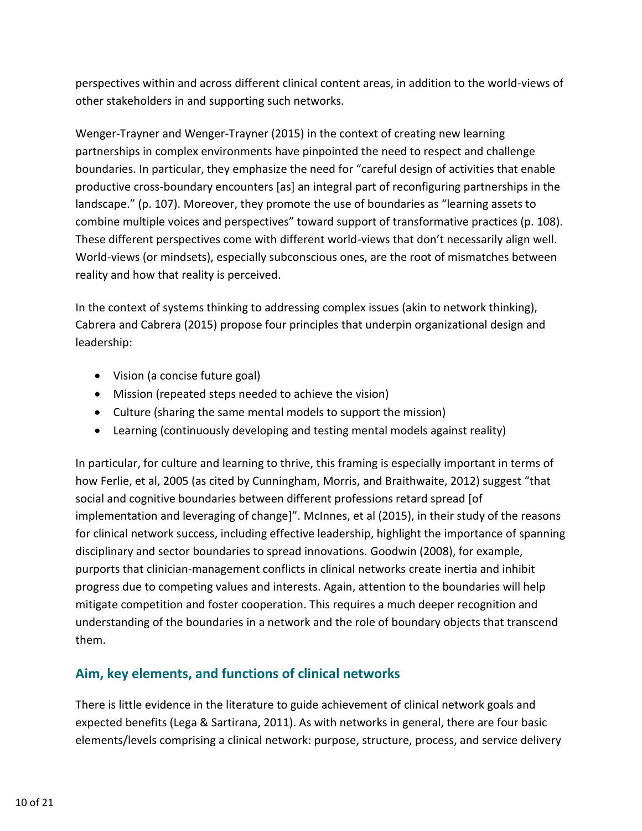perspectives within and across different clinical content areas, in addition to the world-views of other stakeholders in and supporting such networks.

Wenger-Trayner and Wenger-Trayner (2015) in the context of creating new learning partnerships in complex environments have pinpointed the need to respect and challenge boundaries. In particular, they emphasize the need for "careful design of activities that enable productive cross-boundary encounters [as] an integral part of reconfiguring partnerships in the landscape." (p. 107). Moreover, they promote the use of boundaries as "learning assets to combine multiple voices and perspectives" toward support of transformative practices (p. 108). These different perspectives come with different world-views that don't necessarily align well. World-views (or mindsets), especially subconscious ones, are the root of mismatches between reality and how that reality is perceived.

In the context of systems thinking to addressing complex issues (akin to network thinking), Cabrera and Cabrera (2015) propose four principles that underpin organizational design and leadership:

- Vision (a concise future goal)
- Mission (repeated steps needed to achieve the vision)
- Culture (sharing the same mental models to support the mission)
- Learning (continuously developing and testing mental models against reality)

In particular, for culture and learning to thrive, this framing is especially important in terms of how Ferlie, et al, 2005 (as cited by Cunningham, Morris, and Braithwaite, 2012) suggest "that social and cognitive boundaries between different professions retard spread [of implementation and leveraging of change]". McInnes, et al (2015), in their study of the reasons for clinical network success, including effective leadership, highlight the importance of spanning disciplinary and sector boundaries to spread innovations. Goodwin (2008), for example, purports that clinician-management conflicts in clinical networks create inertia and inhibit progress due to competing values and interests. Again, attention to the boundaries will help mitigate competition and foster cooperation. This requires a much deeper recognition and understanding of the boundaries in a network and the role of boundary objects that transcend them.

# <span id="page-9-0"></span>**Aim, key elements, and functions of clinical networks**

There is little evidence in the literature to guide achievement of clinical network goals and expected benefits (Lega & Sartirana, 2011). As with networks in general, there are four basic elements/levels comprising a clinical network: purpose, structure, process, and service delivery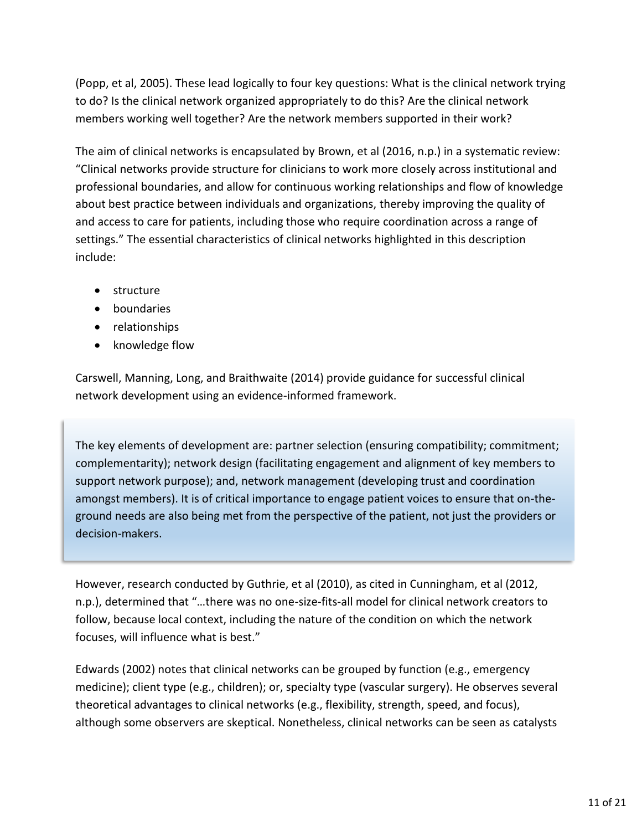(Popp, et al, 2005). These lead logically to four key questions: What is the clinical network trying to do? Is the clinical network organized appropriately to do this? Are the clinical network members working well together? Are the network members supported in their work?

The aim of clinical networks is encapsulated by Brown, et al (2016, n.p.) in a systematic review: "Clinical networks provide structure for clinicians to work more closely across institutional and professional boundaries, and allow for continuous working relationships and flow of knowledge about best practice between individuals and organizations, thereby improving the quality of and access to care for patients, including those who require coordination across a range of settings." The essential characteristics of clinical networks highlighted in this description include:

- structure
- boundaries
- relationships
- knowledge flow

Carswell, Manning, Long, and Braithwaite (2014) provide guidance for successful clinical network development using an evidence-informed framework.

The key elements of development are: partner selection (ensuring compatibility; commitment; complementarity); network design (facilitating engagement and alignment of key members to support network purpose); and, network management (developing trust and coordination amongst members). It is of critical importance to engage patient voices to ensure that on-theground needs are also being met from the perspective of the patient, not just the providers or decision-makers.

However, research conducted by Guthrie, et al (2010), as cited in Cunningham, et al (2012, n.p.), determined that "…there was no one-size-fits-all model for clinical network creators to follow, because local context, including the nature of the condition on which the network focuses, will influence what is best."

Edwards (2002) notes that clinical networks can be grouped by function (e.g., emergency medicine); client type (e.g., children); or, specialty type (vascular surgery). He observes several theoretical advantages to clinical networks (e.g., flexibility, strength, speed, and focus), although some observers are skeptical. Nonetheless, clinical networks can be seen as catalysts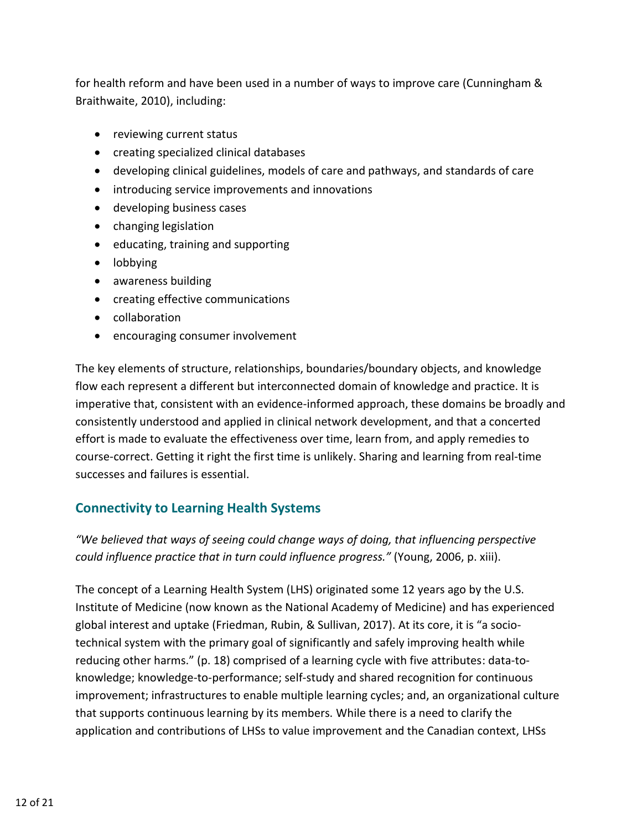for health reform and have been used in a number of ways to improve care (Cunningham & Braithwaite, 2010), including:

- reviewing current status
- creating specialized clinical databases
- developing clinical guidelines, models of care and pathways, and standards of care
- introducing service improvements and innovations
- developing business cases
- changing legislation
- educating, training and supporting
- lobbying
- awareness building
- creating effective communications
- collaboration
- encouraging consumer involvement

The key elements of structure, relationships, boundaries/boundary objects, and knowledge flow each represent a different but interconnected domain of knowledge and practice. It is imperative that, consistent with an evidence-informed approach, these domains be broadly and consistently understood and applied in clinical network development, and that a concerted effort is made to evaluate the effectiveness over time, learn from, and apply remedies to course-correct. Getting it right the first time is unlikely. Sharing and learning from real-time successes and failures is essential.

## <span id="page-11-0"></span>**Connectivity to Learning Health Systems**

*"We believed that ways of seeing could change ways of doing, that influencing perspective could influence practice that in turn could influence progress."* (Young, 2006, p. xiii).

The concept of a Learning Health System (LHS) originated some 12 years ago by the U.S. Institute of Medicine (now known as the National Academy of Medicine) and has experienced global interest and uptake (Friedman, Rubin, & Sullivan, 2017). At its core, it is "a sociotechnical system with the primary goal of significantly and safely improving health while reducing other harms." (p. 18) comprised of a learning cycle with five attributes: data-toknowledge; knowledge-to-performance; self-study and shared recognition for continuous improvement; infrastructures to enable multiple learning cycles; and, an organizational culture that supports continuous learning by its members. While there is a need to clarify the application and contributions of LHSs to value improvement and the Canadian context, LHSs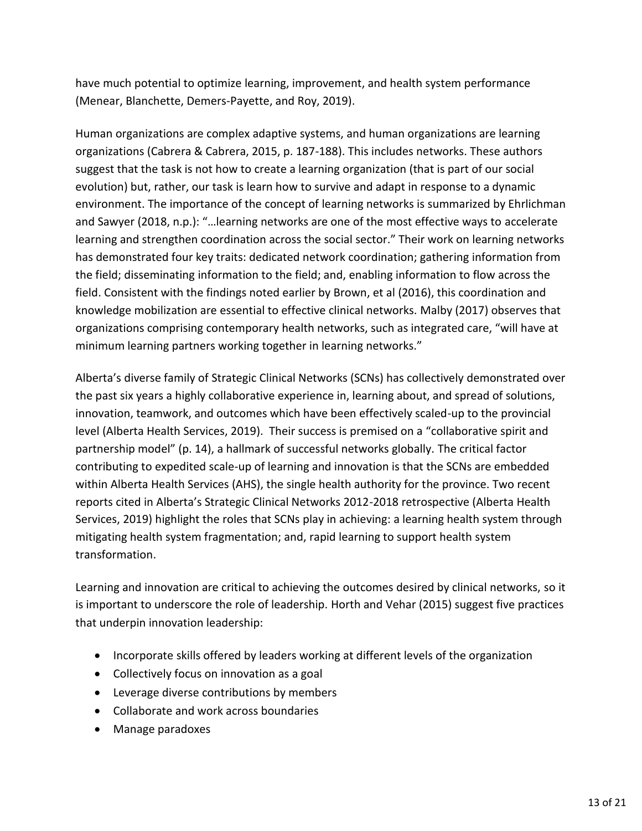have much potential to optimize learning, improvement, and health system performance (Menear, Blanchette, Demers-Payette, and Roy, 2019).

Human organizations are complex adaptive systems, and human organizations are learning organizations (Cabrera & Cabrera, 2015, p. 187-188). This includes networks. These authors suggest that the task is not how to create a learning organization (that is part of our social evolution) but, rather, our task is learn how to survive and adapt in response to a dynamic environment. The importance of the concept of learning networks is summarized by Ehrlichman and Sawyer (2018, n.p.): "…learning networks are one of the most effective ways to accelerate learning and strengthen coordination across the social sector." Their work on learning networks has demonstrated four key traits: dedicated network coordination; gathering information from the field; disseminating information to the field; and, enabling information to flow across the field. Consistent with the findings noted earlier by Brown, et al (2016), this coordination and knowledge mobilization are essential to effective clinical networks. Malby (2017) observes that organizations comprising contemporary health networks, such as integrated care, "will have at minimum learning partners working together in learning networks."

Alberta's diverse family of Strategic Clinical Networks (SCNs) has collectively demonstrated over the past six years a highly collaborative experience in, learning about, and spread of solutions, innovation, teamwork, and outcomes which have been effectively scaled-up to the provincial level (Alberta Health Services, 2019). Their success is premised on a "collaborative spirit and partnership model" (p. 14), a hallmark of successful networks globally. The critical factor contributing to expedited scale-up of learning and innovation is that the SCNs are embedded within Alberta Health Services (AHS), the single health authority for the province. Two recent reports cited in Alberta's Strategic Clinical Networks 2012-2018 retrospective (Alberta Health Services, 2019) highlight the roles that SCNs play in achieving: a learning health system through mitigating health system fragmentation; and, rapid learning to support health system transformation.

Learning and innovation are critical to achieving the outcomes desired by clinical networks, so it is important to underscore the role of leadership. Horth and Vehar (2015) suggest five practices that underpin innovation leadership:

- Incorporate skills offered by leaders working at different levels of the organization
- Collectively focus on innovation as a goal
- Leverage diverse contributions by members
- Collaborate and work across boundaries
- Manage paradoxes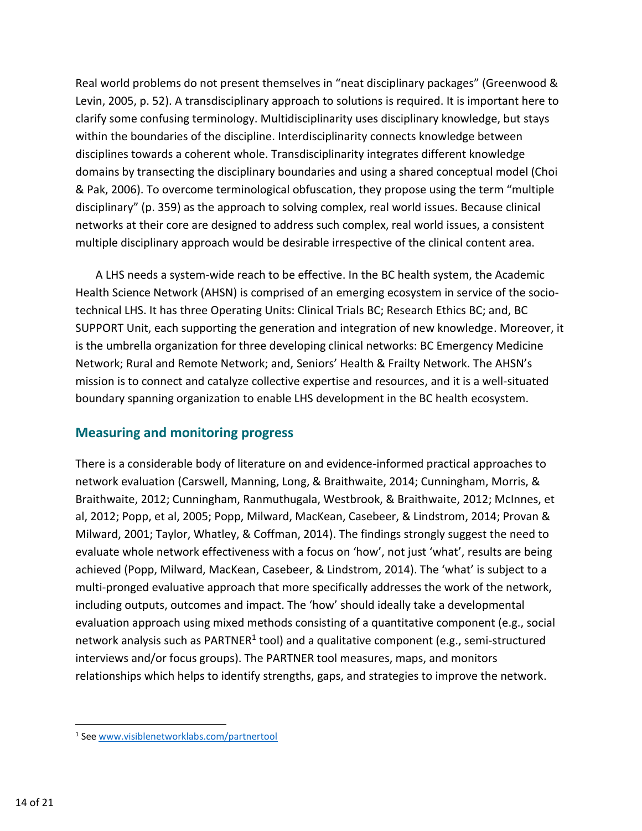Real world problems do not present themselves in "neat disciplinary packages" (Greenwood & Levin, 2005, p. 52). A transdisciplinary approach to solutions is required. It is important here to clarify some confusing terminology. Multidisciplinarity uses disciplinary knowledge, but stays within the boundaries of the discipline. Interdisciplinarity connects knowledge between disciplines towards a coherent whole. Transdisciplinarity integrates different knowledge domains by transecting the disciplinary boundaries and using a shared conceptual model (Choi & Pak, 2006). To overcome terminological obfuscation, they propose using the term "multiple disciplinary" (p. 359) as the approach to solving complex, real world issues. Because clinical networks at their core are designed to address such complex, real world issues, a consistent multiple disciplinary approach would be desirable irrespective of the clinical content area.

 A LHS needs a system-wide reach to be effective. In the BC health system, the Academic Health Science Network (AHSN) is comprised of an emerging ecosystem in service of the sociotechnical LHS. It has three Operating Units: Clinical Trials BC; Research Ethics BC; and, BC SUPPORT Unit, each supporting the generation and integration of new knowledge. Moreover, it is the umbrella organization for three developing clinical networks: BC Emergency Medicine Network; Rural and Remote Network; and, Seniors' Health & Frailty Network. The AHSN's mission is to connect and catalyze collective expertise and resources, and it is a well-situated boundary spanning organization to enable LHS development in the BC health ecosystem.

#### <span id="page-13-0"></span>**Measuring and monitoring progress**

There is a considerable body of literature on and evidence-informed practical approaches to network evaluation (Carswell, Manning, Long, & Braithwaite, 2014; Cunningham, Morris, & Braithwaite, 2012; Cunningham, Ranmuthugala, Westbrook, & Braithwaite, 2012; McInnes, et al, 2012; Popp, et al, 2005; Popp, Milward, MacKean, Casebeer, & Lindstrom, 2014; Provan & Milward, 2001; Taylor, Whatley, & Coffman, 2014). The findings strongly suggest the need to evaluate whole network effectiveness with a focus on 'how', not just 'what', results are being achieved (Popp, Milward, MacKean, Casebeer, & Lindstrom, 2014). The 'what' is subject to a multi-pronged evaluative approach that more specifically addresses the work of the network, including outputs, outcomes and impact. The 'how' should ideally take a developmental evaluation approach using mixed methods consisting of a quantitative component (e.g., social network analysis such as PARTNER<sup>1</sup> tool) and a qualitative component (e.g., semi-structured interviews and/or focus groups). The PARTNER tool measures, maps, and monitors relationships which helps to identify strengths, gaps, and strategies to improve the network.

 $\overline{\phantom{a}}$ 

<sup>&</sup>lt;sup>1</sup> See [www.visiblenetworklabs.com/partnertool](http://www.visiblenetworklabs.com/partnertool)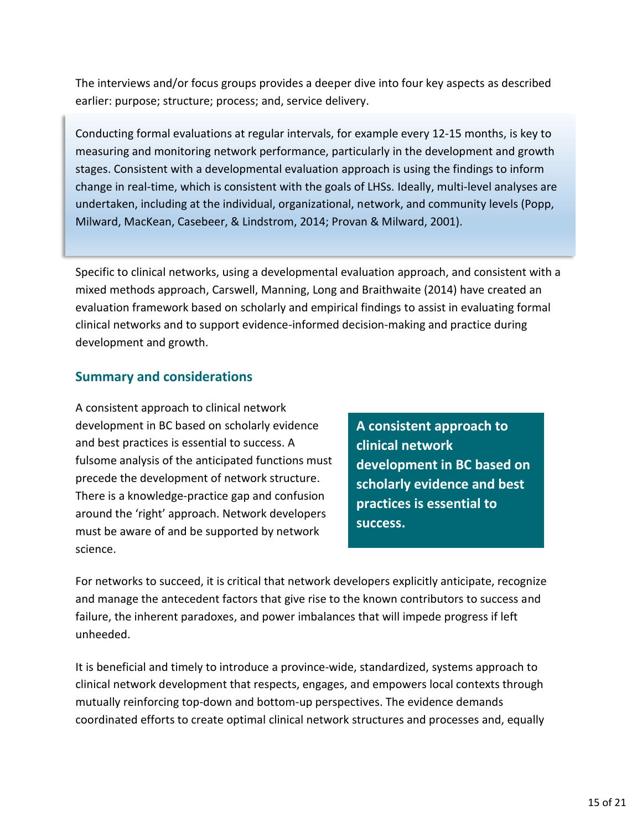The interviews and/or focus groups provides a deeper dive into four key aspects as described earlier: purpose; structure; process; and, service delivery.

Conducting formal evaluations at regular intervals, for example every 12-15 months, is key to measuring and monitoring network performance, particularly in the development and growth stages. Consistent with a developmental evaluation approach is using the findings to inform change in real-time, which is consistent with the goals of LHSs. Ideally, multi-level analyses are undertaken, including at the individual, organizational, network, and community levels (Popp, Milward, MacKean, Casebeer, & Lindstrom, 2014; Provan & Milward, 2001).

Specific to clinical networks, using a developmental evaluation approach, and consistent with a mixed methods approach, Carswell, Manning, Long and Braithwaite (2014) have created an evaluation framework based on scholarly and empirical findings to assist in evaluating formal clinical networks and to support evidence-informed decision-making and practice during development and growth.

#### <span id="page-14-0"></span>**Summary and considerations**

A consistent approach to clinical network development in BC based on scholarly evidence and best practices is essential to success. A fulsome analysis of the anticipated functions must precede the development of network structure. There is a knowledge-practice gap and confusion around the 'right' approach. Network developers must be aware of and be supported by network science.

**A consistent approach to clinical network development in BC based on scholarly evidence and best practices is essential to success.**

For networks to succeed, it is critical that network developers explicitly anticipate, recognize and manage the antecedent factors that give rise to the known contributors to success and failure, the inherent paradoxes, and power imbalances that will impede progress if left unheeded.

It is beneficial and timely to introduce a province-wide, standardized, systems approach to clinical network development that respects, engages, and empowers local contexts through mutually reinforcing top-down and bottom-up perspectives. The evidence demands coordinated efforts to create optimal clinical network structures and processes and, equally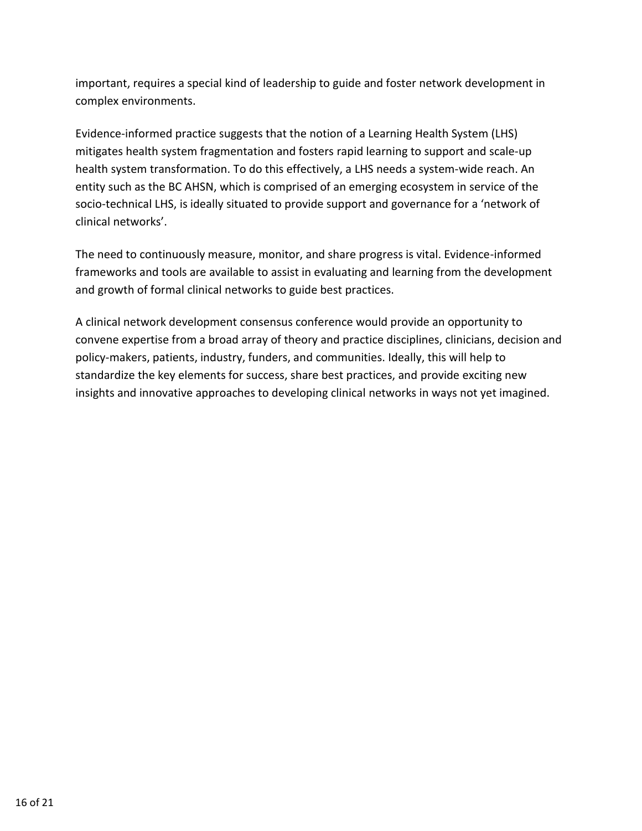important, requires a special kind of leadership to guide and foster network development in complex environments.

Evidence-informed practice suggests that the notion of a Learning Health System (LHS) mitigates health system fragmentation and fosters rapid learning to support and scale-up health system transformation. To do this effectively, a LHS needs a system-wide reach. An entity such as the BC AHSN, which is comprised of an emerging ecosystem in service of the socio-technical LHS, is ideally situated to provide support and governance for a 'network of clinical networks'.

The need to continuously measure, monitor, and share progress is vital. Evidence-informed frameworks and tools are available to assist in evaluating and learning from the development and growth of formal clinical networks to guide best practices.

A clinical network development consensus conference would provide an opportunity to convene expertise from a broad array of theory and practice disciplines, clinicians, decision and policy-makers, patients, industry, funders, and communities. Ideally, this will help to standardize the key elements for success, share best practices, and provide exciting new insights and innovative approaches to developing clinical networks in ways not yet imagined.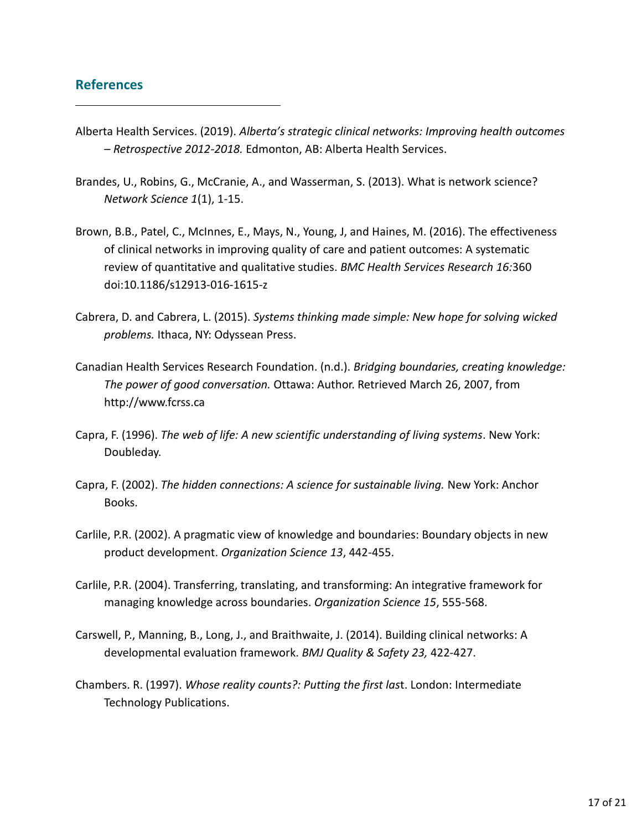#### <span id="page-16-0"></span>**References**

 $\overline{a}$ 

- Alberta Health Services. (2019). *Alberta's strategic clinical networks: Improving health outcomes – Retrospective 2012-2018.* Edmonton, AB: Alberta Health Services.
- Brandes, U., Robins, G., McCranie, A., and Wasserman, S. (2013). What is network science? *Network Science 1*(1), 1-15.
- Brown, B.B., Patel, C., McInnes, E., Mays, N., Young, J, and Haines, M. (2016). The effectiveness of clinical networks in improving quality of care and patient outcomes: A systematic review of quantitative and qualitative studies. *BMC Health Services Research 16:*360 doi:10.1186/s12913-016-1615-z
- Cabrera, D. and Cabrera, L. (2015). *Systems thinking made simple: New hope for solving wicked problems.* Ithaca, NY: Odyssean Press.
- Canadian Health Services Research Foundation. (n.d.). *Bridging boundaries, creating knowledge: The power of good conversation.* Ottawa: Author. Retrieved March 26, 2007, from http://www.fcrss.ca
- Capra, F. (1996). *The web of life: A new scientific understanding of living systems*. New York: Doubleday.
- Capra, F. (2002). *The hidden connections: A science for sustainable living.* New York: Anchor Books.
- Carlile, P.R. (2002). A pragmatic view of knowledge and boundaries: Boundary objects in new product development. *Organization Science 13*, 442-455.
- Carlile, P.R. (2004). Transferring, translating, and transforming: An integrative framework for managing knowledge across boundaries. *Organization Science 15*, 555-568.
- Carswell, P., Manning, B., Long, J., and Braithwaite, J. (2014). Building clinical networks: A developmental evaluation framework. *BMJ Quality & Safety 23,* 422-427.
- Chambers. R. (1997). *Whose reality counts?: Putting the first las*t. London: Intermediate Technology Publications.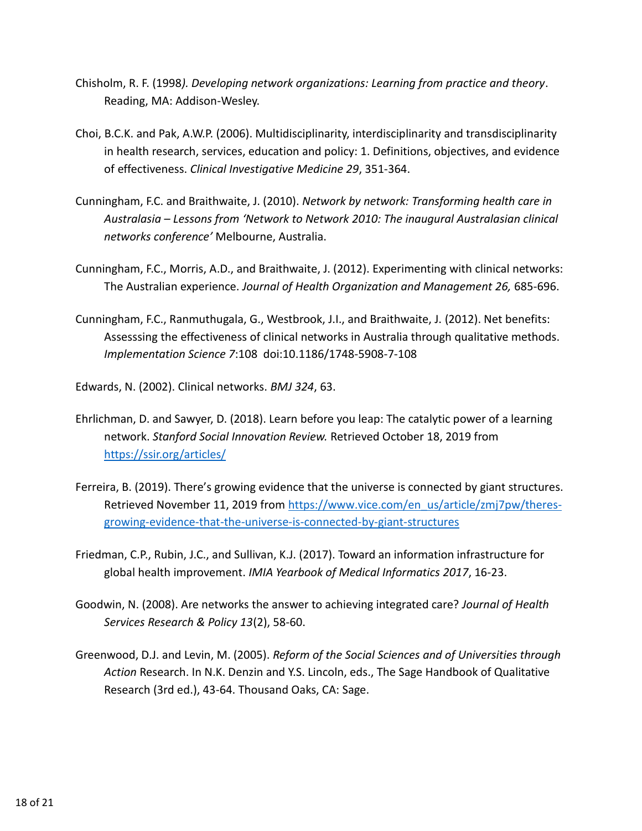- Chisholm, R. F. (1998*). Developing network organizations: Learning from practice and theory*. Reading, MA: Addison-Wesley.
- Choi, B.C.K. and Pak, A.W.P. (2006). Multidisciplinarity, interdisciplinarity and transdisciplinarity in health research, services, education and policy: 1. Definitions, objectives, and evidence of effectiveness. *Clinical Investigative Medicine 29*, 351-364.
- Cunningham, F.C. and Braithwaite, J. (2010). *Network by network: Transforming health care in Australasia – Lessons from 'Network to Network 2010: The inaugural Australasian clinical networks conference'* Melbourne, Australia.
- Cunningham, F.C., Morris, A.D., and Braithwaite, J. (2012). Experimenting with clinical networks: The Australian experience. *Journal of Health Organization and Management 26,* 685-696.
- Cunningham, F.C., Ranmuthugala, G., Westbrook, J.I., and Braithwaite, J. (2012). Net benefits: Assesssing the effectiveness of clinical networks in Australia through qualitative methods. *Implementation Science 7*:108 doi:10.1186/1748-5908-7-108
- Edwards, N. (2002). Clinical networks. *BMJ 324*, 63.
- Ehrlichman, D. and Sawyer, D. (2018). Learn before you leap: The catalytic power of a learning network. *Stanford Social Innovation Review.* Retrieved October 18, 2019 from <https://ssir.org/articles/>
- Ferreira, B. (2019). There's growing evidence that the universe is connected by giant structures. Retrieved November 11, 2019 from [https://www.vice.com/en\\_us/article/zmj7pw/theres](https://www.vice.com/en_us/article/zmj7pw/theres-growing-evidence-that-the-universe-is-connected-by-giant-structures)[growing-evidence-that-the-universe-is-connected-by-giant-structures](https://www.vice.com/en_us/article/zmj7pw/theres-growing-evidence-that-the-universe-is-connected-by-giant-structures)
- Friedman, C.P., Rubin, J.C., and Sullivan, K.J. (2017). Toward an information infrastructure for global health improvement. *IMIA Yearbook of Medical Informatics 2017*, 16-23.
- Goodwin, N. (2008). Are networks the answer to achieving integrated care? *Journal of Health Services Research & Policy 13*(2), 58-60.
- Greenwood, D.J. and Levin, M. (2005). *Reform of the Social Sciences and of Universities through Action* Research. In N.K. Denzin and Y.S. Lincoln, eds., The Sage Handbook of Qualitative Research (3rd ed.), 43-64. Thousand Oaks, CA: Sage.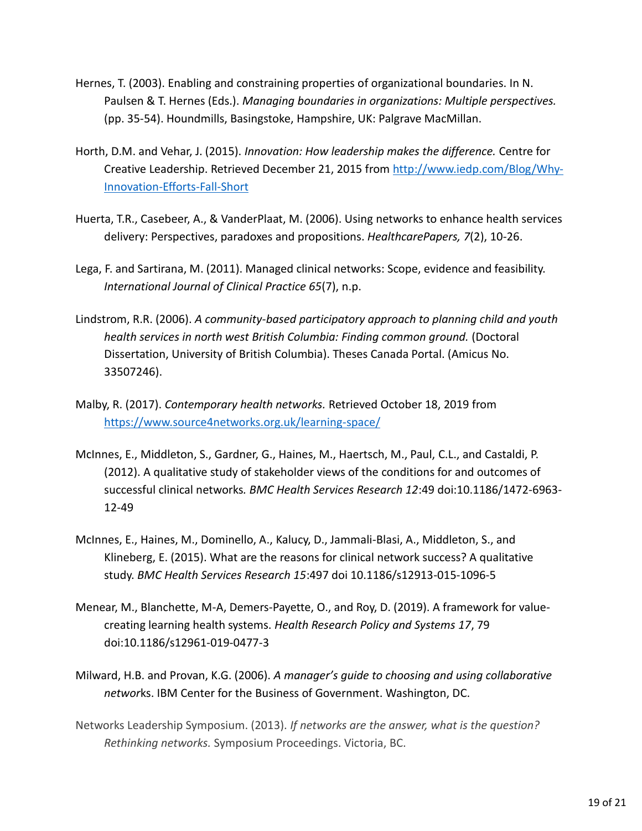- Hernes, T. (2003). Enabling and constraining properties of organizational boundaries. In N. Paulsen & T. Hernes (Eds.). *Managing boundaries in organizations: Multiple perspectives.*  (pp. 35-54). Houndmills, Basingstoke, Hampshire, UK: Palgrave MacMillan.
- Horth, D.M. and Vehar, J. (2015). *Innovation: How leadership makes the difference.* Centre for Creative Leadership. Retrieved December 21, 2015 from [http://www.iedp.com/Blog/Why-](http://www.iedp.com/Blog/Why-Innovation-Efforts-Fall-Short)[Innovation-Efforts-Fall-Short](http://www.iedp.com/Blog/Why-Innovation-Efforts-Fall-Short)
- Huerta, T.R., Casebeer, A., & VanderPlaat, M. (2006). Using networks to enhance health services delivery: Perspectives, paradoxes and propositions. *HealthcarePapers, 7*(2), 10-26.
- Lega, F. and Sartirana, M. (2011). Managed clinical networks: Scope, evidence and feasibility. *International Journal of Clinical Practice 65*(7), n.p.
- Lindstrom, R.R. (2006). *A community-based participatory approach to planning child and youth health services in north west British Columbia: Finding common ground.* (Doctoral Dissertation, University of British Columbia). Theses Canada Portal. (Amicus No. 33507246).
- Malby, R. (2017). *Contemporary health networks.* Retrieved October 18, 2019 from <https://www.source4networks.org.uk/learning-space/>
- McInnes, E., Middleton, S., Gardner, G., Haines, M., Haertsch, M., Paul, C.L., and Castaldi, P. (2012). A qualitative study of stakeholder views of the conditions for and outcomes of successful clinical networks*. BMC Health Services Research 12*:49 doi:10.1186/1472-6963- 12-49
- McInnes, E., Haines, M., Dominello, A., Kalucy, D., Jammali-Blasi, A., Middleton, S., and Klineberg, E. (2015). What are the reasons for clinical network success? A qualitative study. *BMC Health Services Research 15*:497 doi 10.1186/s12913-015-1096-5
- Menear, M., Blanchette, M-A, Demers-Payette, O., and Roy, D. (2019). A framework for valuecreating learning health systems. *Health Research Policy and Systems 17*, 79 doi:10.1186/s12961-019-0477-3
- Milward, H.B. and Provan, K.G. (2006). *A manager's guide to choosing and using collaborative networ*ks. IBM Center for the Business of Government. Washington, DC.
- Networks Leadership Symposium. (2013). *If networks are the answer, what is the question? Rethinking networks.* Symposium Proceedings. Victoria, BC.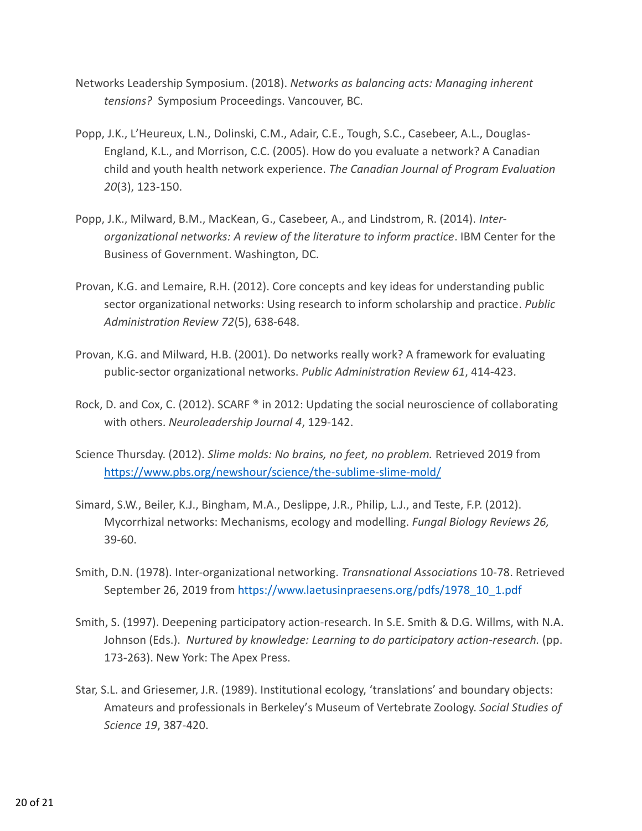- Networks Leadership Symposium. (2018). *Networks as balancing acts: Managing inherent tensions?* Symposium Proceedings. Vancouver, BC.
- Popp, J.K., L'Heureux, L.N., Dolinski, C.M., Adair, C.E., Tough, S.C., Casebeer, A.L., Douglas-England, K.L., and Morrison, C.C. (2005). How do you evaluate a network? A Canadian child and youth health network experience. *The Canadian Journal of Program Evaluation 20*(3), 123-150.
- Popp, J.K., Milward, B.M., MacKean, G., Casebeer, A., and Lindstrom, R. (2014). *Interorganizational networks: A review of the literature to inform practice*. IBM Center for the Business of Government. Washington, DC.
- Provan, K.G. and Lemaire, R.H. (2012). Core concepts and key ideas for understanding public sector organizational networks: Using research to inform scholarship and practice. *Public Administration Review 72*(5), 638-648.
- Provan, K.G. and Milward, H.B. (2001). Do networks really work? A framework for evaluating public-sector organizational networks. *Public Administration Review 61*, 414-423.
- Rock, D. and Cox, C. (2012). SCARF ® in 2012: Updating the social neuroscience of collaborating with others. *Neuroleadership Journal 4*, 129-142.
- Science Thursday. (2012). *Slime molds: No brains, no feet, no problem.* Retrieved 2019 from <https://www.pbs.org/newshour/science/the-sublime-slime-mold/>
- Simard, S.W., Beiler, K.J., Bingham, M.A., Deslippe, J.R., Philip, L.J., and Teste, F.P. (2012). Mycorrhizal networks: Mechanisms, ecology and modelling. *Fungal Biology Reviews 26,*  39-60.
- Smith, D.N. (1978). Inter-organizational networking. *Transnational Associations* 10-78. Retrieved September 26, 2019 from [https://www.laetusinpraesens.org/pdfs/1978\\_10\\_1.pdf](https://www.laetusinpraesens.org/pdfs/1978_10_1.pdf)
- Smith, S. (1997). Deepening participatory action-research. In S.E. Smith & D.G. Willms, with N.A. Johnson (Eds.). *Nurtured by knowledge: Learning to do participatory action-research.* (pp. 173-263). New York: The Apex Press.
- Star, S.L. and Griesemer, J.R. (1989). Institutional ecology, 'translations' and boundary objects: Amateurs and professionals in Berkeley's Museum of Vertebrate Zoology. *Social Studies of Science 19*, 387-420.